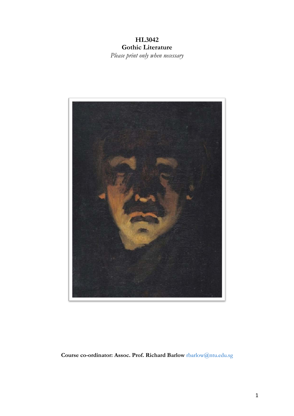## **HL3042 Gothic Literature** *Please print only when necessary*



**Course co-ordinator: Assoc. Prof. Richard Barlow** rbarlow@ntu.edu.sg